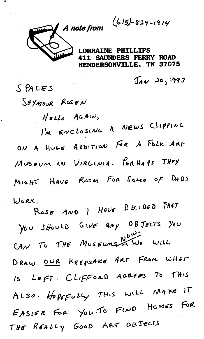$(615) - 824 - 1914$ 

**INE PHILLIPS** SAUNDERS FERRY ROAD HENDERSONVILLE. TN 37075

 $J_{AV}$  20, 1993

SEYMOUR ROSEN HELLO AGAIN, I'M ENCLOSING A NEWS CLIPPING ON A HUGE ADDITION FOR A FOLK ART MUSEUM AN VIRGINIA. PERHAPS THEY MIGHT HAVE ROOM FOR SOME OF DADS WORK. ROSE AND I HAVE DECIDED THAT

 $S$  PACES

You SHOULD GIVE ANY OBJECTS YOU CAN TO THE MUSEUMS NOW: WILL DRAW OUR KEEPSAKE ART FROM WHAT IS LEFT. CLIFFORD AGREES TO THIS ALSO. HOPEFULLY THIS WILL MAKE IT EASIER FOR YOU TO FIND HOMES FOR THE REALLY GOOD ART OBJECTS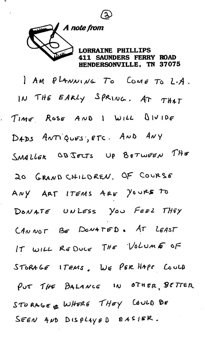

L,

TNE PHILLIPS **411 SAUNDERS FERRY ROAD** HENDERSONVILLE, TN 37075

I AM PLANNING TO COME TO L.A. IN THE EARLY SPRING, AT THAT TIME ROSE AND I WILL DIVIDE DADS ANTIQUES, ETC. AND ANY SMALLER OBJECTS UP BETWEEN THE 20 GRAND CHILDREN. OF COURSE ANY ART ITEMS ARE YOURS TO DONATE UNLESS YOU FEEL THEY CANNOT BE DONATED. AT LEAST IT WILL REDUCE THE VOLUME OF STORAGE ITEMS, WE PER HAPS COULD PUT THE BALANCE IN OTHER BETTER STURAGE & WHERE THEY COULD BE SEEN AND DISPLAYED EASIER.